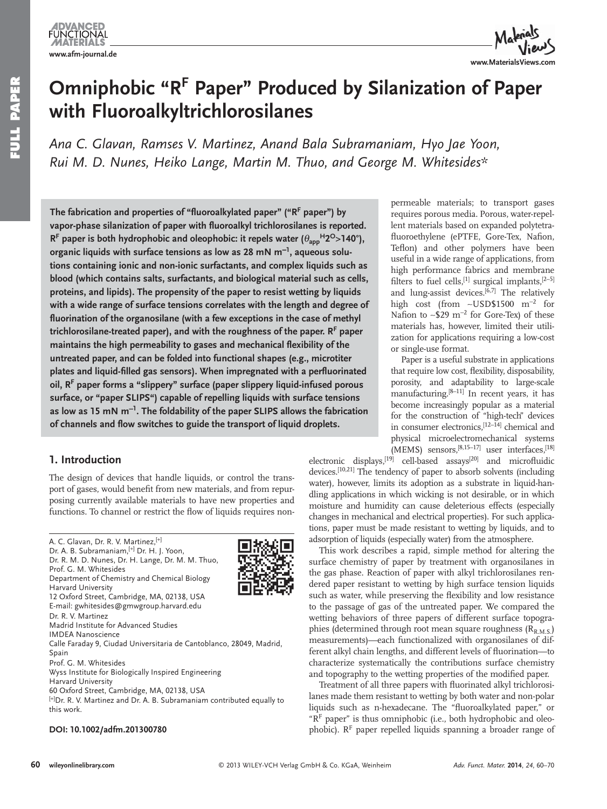

# **Omniphobic "R<sup>F</sup> Paper" Produced by Silanization of Paper with Fluoroalkyltrichlorosilanes**

Ana C. Glavan, Ramses V. Martinez, Anand Bala Subramaniam, Hyo Jae Yoon, Rui M. D. Nunes, Heiko Lange, Martin M. Thuo, and George M. Whitesides\*

The fabrication and properties of "fluoroalkylated paper" ("R<sup>F</sup> paper") by vapor-phase silanization of paper with fluoroalkyl trichlorosilanes is reported. **R<sup>F</sup> paper is both hydrophobic and oleophobic: it repels water (** $\theta_{app}$ **<sup>H</sup>2<sup>O</sup>>140°),** organic liquids with surface tensions as low as 28 mN m<sup>−1</sup>, aqueous solu**tions containing ionic and non-ionic surfactants, and complex liquids such as blood (which contains salts, surfactants, and biological material such as cells, proteins, and lipids). The propensity of the paper to resist wetting by liquids with a wide range of surface tensions correlates with the length and degree of**  fluorination of the organosilane (with a few exceptions in the case of methyl trichlorosilane-treated paper), and with the roughness of the paper. R<sup>F</sup> paper maintains the high permeability to gases and mechanical flexibility of the **untreated paper, and can be folded into functional shapes (e.g., microtiter**  plates and liquid-filled gas sensors). When impregnated with a perfluorinated oil, R<sup>F</sup> paper forms a "slippery" surface (paper slippery liquid-infused porous **surface, or "paper SLIPS") capable of repelling liquids with surface tensions**  as low as 15 mN m<sup>-1</sup>. The foldability of the paper SLIPS allows the fabrication of channels and flow switches to guide the transport of liquid droplets.

## **1.** Introduction

 The design of devices that handle liquids, or control the transport of gases, would benefit from new materials, and from repurposing currently available materials to have new properties and functions. To channel or restrict the flow of liquids requires non-

### **DOI: 10.1002/adfm.201300780**



permeable materials; to transport gases requires porous media. Porous, water-repellent materials based on expanded polytetrafluoroethylene (ePTFE, Gore-Tex, Nafion, Teflon) and other polymers have been useful in a wide range of applications, from high performance fabrics and membrane filters to fuel cells,  $[1]$  surgical implants,  $[2-5]$ and lung-assist devices. $[6,7]$  The relatively high cost (from ~USD\$1500 m<sup>-2</sup> for Nafion to ~\$29 m<sup>-2</sup> for Gore-Tex) of these materials has, however, limited their utilization for applications requiring a low-cost or single-use format.

 Paper is a useful substrate in applications that require low cost, flexibility, disposability, porosity, and adaptability to large-scale  $manufacturing.<sup>[8–11]</sup>$  In recent years, it has become increasingly popular as a material for the construction of "high-tech" devices in consumer electronics, [12-14] chemical and physical microelectromechanical systems (MEMS) sensors, [8,15-17] user interfaces, [18]

electronic displays,<sup>[19]</sup> cell-based assays<sup>[20]</sup> and microfluidic devices.<sup>[10,21]</sup> The tendency of paper to absorb solvents (including water), however, limits its adoption as a substrate in liquid-handling applications in which wicking is not desirable, or in which moisture and humidity can cause deleterious effects (especially changes in mechanical and electrical properties). For such applications, paper must be made resistant to wetting by liquids, and to adsorption of liquids (especially water) from the atmosphere.

 This work describes a rapid, simple method for altering the surface chemistry of paper by treatment with organosilanes in the gas phase. Reaction of paper with alkyl trichlorosilanes rendered paper resistant to wetting by high surface tension liquids such as water, while preserving the flexibility and low resistance to the passage of gas of the untreated paper. We compared the wetting behaviors of three papers of different surface topographies (determined through root mean square roughness  $(R_{R.M.S.})$ measurements)—each functionalized with organosilanes of different alkyl chain lengths, and different levels of fluorination-to characterize systematically the contributions surface chemistry and topography to the wetting properties of the modified paper.

Treatment of all three papers with fluorinated alkyl trichlorosilanes made them resistant to wetting by both water and non-polar liquids such as n-hexadecane. The "fluoroalkylated paper," or  $R^F$  paper" is thus omniphobic (i.e., both hydrophobic and oleophobic).  $R<sup>F</sup>$  paper repelled liquids spanning a broader range of

A. C. Glavan, Dr. R. V. Martinez, [+] Io Dr. A. B. Subramaniam, [+] Dr. H. J. Yoon, Dr. R. M. D. Nunes, Dr. H. Lange, Dr. M. M. Thuo, Prof. G. M. Whitesides Department of Chemistry and Chemical Biology Harvard University 12 Oxford Street, Cambridge, MA, 02138, USA E-mail: gwhitesides@gmwgroup.harvard.edu Dr. R. V. Martinez Madrid Institute for Advanced Studies IMDEA Nanoscience Calle Faraday 9, Ciudad Universitaria de Cantoblanco, 28049, Madrid, Spain Prof. G. M. Whitesides Wyss Institute for Biologically Inspired Engineering Harvard University 60 Oxford Street, Cambridge, MA, 02138, USA [+] Dr. R. V. Martinez and Dr. A. B. Subramaniam contributed equally to this work.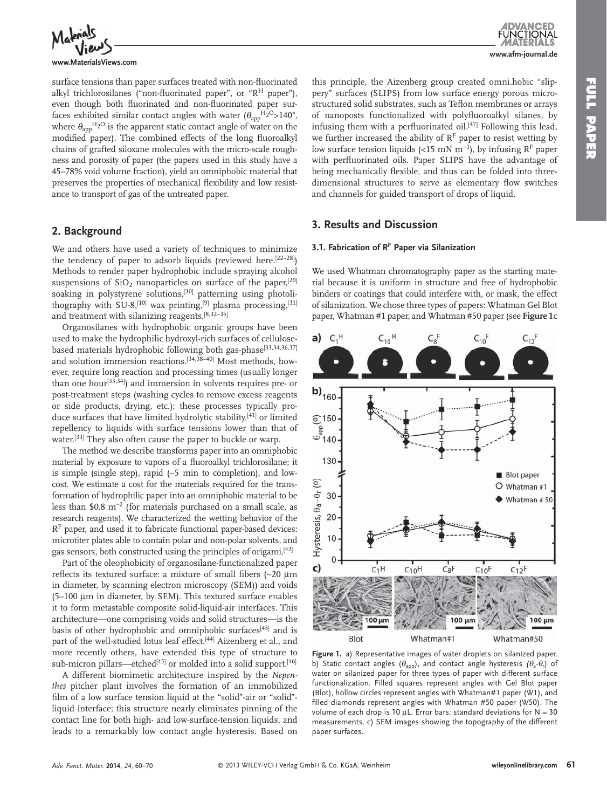

**www.MaterialsViews.com**

surface tensions than paper surfaces treated with non-fluorinated alkyl trichlorosilanes ("non-fluorinated paper", or " $R<sup>H</sup>$  paper"), even though both fluorinated and non-fluorinated paper surfaces exhibited similar contact angles with water  $(\theta_{\text{app}}^{\text{H}_2\text{O}} > 140^{\circ})$ , where  $\theta_{\text{app}}$ <sup>H<sub>2</sub>O</sup> is the apparent static contact angle of water on the modified paper). The combined effects of the long fluoroalkyl chains of grafted siloxane molecules with the micro-scale roughness and porosity of paper (the papers used in this study have a 45–78% void volume fraction), yield an omniphobic material that preserves the properties of mechanical flexibility and low resistance to transport of gas of the untreated paper.

## **2. Background**

 We and others have used a variety of techniques to minimize the tendency of paper to adsorb liquids (reviewed here.  $[22-28]$ ) Methods to render paper hydrophobic include spraying alcohol suspensions of  $SiO<sub>2</sub>$  nanoparticles on surface of the paper, [29] soaking in polystyrene solutions,<sup>[30]</sup> patterning using photolithography with SU-8,<sup>[10]</sup> wax printing,<sup>[9]</sup> plasma processing,<sup>[31]</sup> and treatment with silanizing reagents. [8,32–35]

 Organosilanes with hydrophobic organic groups have been used to make the hydrophilic hydroxyl-rich surfaces of cellulosebased materials hydrophobic following both gas-phase<sup>[33,34,36,37]</sup> and solution immersion reactions.<sup>[34,38-40]</sup> Most methods, however, require long reaction and processing times (usually longer than one hour<sup>[33,34]</sup>) and immersion in solvents requires pre- or post-treatment steps (washing cycles to remove excess reagents or side products, drying, etc.); these processes typically produce surfaces that have limited hydrolytic stability,<sup>[41]</sup> or limited repellency to liquids with surface tensions lower than that of water.<sup>[33]</sup> They also often cause the paper to buckle or warp.

 The method we describe transforms paper into an omniphobic material by exposure to vapors of a fluoroalkyl trichlorosilane; it is simple (single step), rapid (~5 min to completion), and lowcost. We estimate a cost for the materials required for the transformation of hydrophilic paper into an omniphobic material to be less than  $$0.8 \text{ m}^{-2}$  (for materials purchased on a small scale, as research reagents). We characterized the wetting behavior of the  $R<sup>F</sup>$  paper, and used it to fabricate functional paper-based devices: microtiter plates able to contain polar and non-polar solvents, and gas sensors, both constructed using the principles of origami.<sup>[42]</sup>

 Part of the oleophobicity of organosilane-functionalized paper reflects its textured surface: a mixture of small fibers (~20 μm in diameter, by scanning electron microscopy (SEM)) and voids (5-100 μm in diameter, by SEM). This textured surface enables it to form metastable composite solid-liquid-air interfaces. This architecture—one comprising voids and solid structures—is the basis of other hydrophobic and omniphobic surfaces<sup>[43]</sup> and is part of the well-studied lotus leaf effect.<sup>[44]</sup> Aizenberg et al., and more recently others, have extended this type of structure to sub-micron pillars—etched<sup>[45]</sup> or molded into a solid support.<sup>[46]</sup>

 A different biomimetic architecture inspired by the *Nepenthes* pitcher plant involves the formation of an immobilized film of a low surface tension liquid at the "solid"-air or "solid"liquid interface; this structure nearly eliminates pinning of the contact line for both high- and low-surface-tension liquids, and leads to a remarkably low contact angle hysteresis. Based on this principle, the Aizenberg group created omni.hobic "slippery" surfaces (SLIPS) from low surface energy porous microstructured solid substrates, such as Teflon membranes or arrays of nanoposts functionalized with polyfluoroalkyl silanes, by infusing them with a perfluorinated oil.<sup>[47]</sup> Following this lead, we further increased the ability of  $R<sup>F</sup>$  paper to resist wetting by low surface tension liquids (<15 mN m<sup>-1</sup>), by infusing R<sup>F</sup> paper with perfluorinated oils. Paper SLIPS have the advantage of being mechanically flexible, and thus can be folded into threedimensional structures to serve as elementary flow switches and channels for guided transport of drops of liquid.

## **3 . Results and Discussion**

## **3.1. Fabrication of R<sup>F</sup> Paper via Silanization**

 We used Whatman chromatography paper as the starting material because it is uniform in structure and free of hydrophobic binders or coatings that could interfere with, or mask, the effect of silanization. We chose three types of papers: Whatman Gel Blot paper, Whatman #1 paper, and Whatman #50 paper (see Figure 1c



 **Figure 1.** a) Representative images of water droplets on silanized paper. b) Static contact angles  $(\theta_{app})$ , and contact angle hysteresis  $(\theta_a - \theta_r)$  of water on silanized paper for three types of paper with different surface functionalization. Filled squares represent angles with Gel Blot paper (Blot), hollow circles represent angles with Whatman#1 paper (W1), and filled diamonds represent angles with Whatman #50 paper (W50). The volume of each drop is 10 μL. Error bars: standard deviations for  $N = 30$ measurements. c) SEM images showing the topography of the different paper surfaces.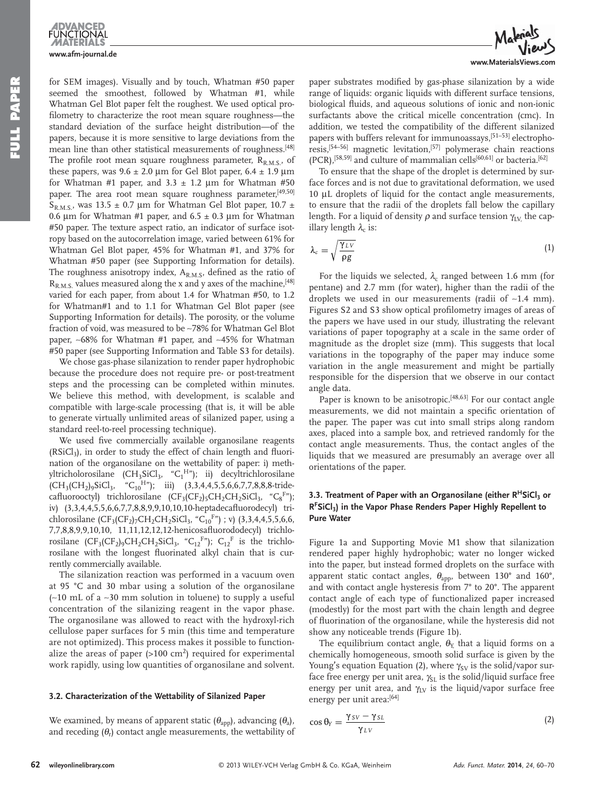**FUNCTIONAL www.afm-journal.de**

for SEM images). Visually and by touch, Whatman #50 paper seemed the smoothest, followed by Whatman #1, while Whatman Gel Blot paper felt the roughest. We used optical profilometry to characterize the root mean square roughness—the standard deviation of the surface height distribution—of the papers, because it is more sensitive to large deviations from the mean line than other statistical measurements of roughness.<sup>[48]</sup> The profile root mean square roughness parameter,  $R_{R,M,S}$ , of these papers, was  $9.6 \pm 2.0 \mu m$  for Gel Blot paper,  $6.4 \pm 1.9 \mu m$ for Whatman #1 paper, and  $3.3 \pm 1.2$  µm for Whatman #50 paper. The area root mean square roughness parameter, [49,50]  $S_{\rm R.M.S.}$ , was 13.5  $\pm$  0.7 µm for Whatman Gel Blot paper, 10.7  $\pm$ 0.6 μm for Whatman #1 paper, and  $6.5 \pm 0.3$  μm for Whatman #50 paper. The texture aspect ratio, an indicator of surface isotropy based on the autocorrelation image, varied between 61% for Whatman Gel Blot paper, 45% for Whatman #1, and 37% for Whatman #50 paper (see Supporting Information for details). The roughness anisotropy index,  $A_{R,M,S}$ , defined as the ratio of  $R_{R, M, S}$  values measured along the x and y axes of the machine, [48] varied for each paper, from about 1.4 for Whatman #50, to 1.2 for Whatman#1 and to 1.1 for Whatman Gel Blot paper (see Supporting Information for details). The porosity, or the volume fraction of void, was measured to be ∼ 78% for Whatman Gel Blot paper, ∼68% for Whatman #1 paper, and ∼45% for Whatman #50 paper (see Supporting Information and Table S3 for details).

 We chose gas-phase silanization to render paper hydrophobic because the procedure does not require pre- or post-treatment steps and the processing can be completed within minutes. We believe this method, with development, is scalable and compatible with large-scale processing (that is, it will be able to generate virtually unlimited areas of silanized paper, using a standard reel-to-reel processing technique).

We used five commercially available organosilane reagents  $(RSiCl<sub>3</sub>)$ , in order to study the effect of chain length and fluorination of the organosilane on the wettability of paper: i) methyltricholorosilane (CH<sub>3</sub>SiCl<sub>3</sub>, "C<sub>1</sub><sup>H</sup>"); ii) decyltrichlorosilane  $\text{(CH}_3(\text{CH}_2)_{9}\text{SiCl}_3, \quad \text{``C}_{10}^{\text{H}}\text{''}); \quad \text{iii)} \quad (3,3,4,4,5,5,6,6,7,7,8,8,8\text{-tride-}$ cafluorooctyl) trichlorosilane  $(CF_3(CF_2)_5CH_2CH_2SiCl_3$ , " $C_8F^*$ "); iv) (3,3,4,4,5,5,6,6,7,7,8,8,9,9,10,10,10-heptadecafluorodecyl) trichlorosilane  $(CF_3(CF_2)_7CH_2CH_2SiCl_3$ , "C<sub>10</sub>F"); v) (3,3,4,4,5,5,6,6, 7,7,8,8,9,9,10,10, 11,11,12,12,12-henicosafluorododecyl) trichlorosilane  $(CF_3(CF_2)_9CH_2CH_2SL_3$ , " $C_{12}F$ ");  $C_{12}F$  is the trichlorosilane with the longest fluorinated alkyl chain that is currently commercially available.

 The silanization reaction was performed in a vacuum oven at 95 °C and 30 mbar using a solution of the organosilane (~10 mL of a ~30 mm solution in toluene) to supply a useful concentration of the silanizing reagent in the vapor phase. The organosilane was allowed to react with the hydroxyl-rich cellulose paper surfaces for 5 min (this time and temperature are not optimized). This process makes it possible to functionalize the areas of paper  $(>100 \text{ cm}^2)$  required for experimental work rapidly, using low quantities of organosilane and solvent.

### **3.2 . Characterization of the Wettability of Silanized Paper**

We examined, by means of apparent static  $(\theta_{\rm app})$ , advancing  $(\theta_{\rm a})$ , and receding  $(\theta_r)$  contact angle measurements, the wettability of



paper substrates modified by gas-phase silanization by a wide range of liquids: organic liquids with different surface tensions, biological fluids, and aqueous solutions of ionic and non-ionic surfactants above the critical micelle concentration (cmc). In addition, we tested the compatibility of the different silanized papers with buffers relevant for immunoassays,<sup>[51–53]</sup> electrophoresis,<sup>[54-56]</sup> magnetic levitation,<sup>[57]</sup> polymerase chain reactions (PCR),<sup>[58,59]</sup> and culture of mammalian cells<sup>[60,61]</sup> or bacteria.<sup>[62]</sup>

 To ensure that the shape of the droplet is determined by surface forces and is not due to gravitational deformation, we used 10 μL droplets of liquid for the contact angle measurements, to ensure that the radii of the droplets fall below the capillary length. For a liquid of density  $\rho$  and surface tension  $\gamma_{\text{LV}}$  the capillary length  $\lambda_c$  is:

$$
\lambda_c = \sqrt{\frac{\gamma_{LV}}{\rho g}}\tag{1}
$$

For the liquids we selected,  $\lambda_c$  ranged between 1.6 mm (for pentane) and 2.7 mm (for water), higher than the radii of the droplets we used in our measurements (radii of ∼ 1.4 mm). Figures S2 and S3 show optical profilometry images of areas of the papers we have used in our study, illustrating the relevant variations of paper topography at a scale in the same order of magnitude as the droplet size (mm). This suggests that local variations in the topography of the paper may induce some variation in the angle measurement and might be partially responsible for the dispersion that we observe in our contact angle data.

Paper is known to be anisotropic.<sup>[48,63]</sup> For our contact angle measurements, we did not maintain a specific orientation of the paper. The paper was cut into small strips along random axes, placed into a sample box, and retrieved randomly for the contact angle measurements. Thus, the contact angles of the liquids that we measured are presumably an average over all orientations of the paper.

## **3.3. Treatment of Paper with an Organosilane (either R<sup>H</sup>SiCl<sub>3</sub> or R F SiCl 3 ) in the Vapor Phase Renders Paper Highly Repellent to Pure Water**

Figure 1a and Supporting Movie M1 show that silanization rendered paper highly hydrophobic; water no longer wicked into the paper, but instead formed droplets on the surface with apparent static contact angles,  $\theta_{\text{app}}$ , between 130° and 160°, and with contact angle hysteresis from 7° to 20°. The apparent contact angle of each type of functionalized paper increased (modestly) for the most part with the chain length and degree of fluorination of the organosilane, while the hysteresis did not show any noticeable trends (Figure 1b).

The equilibrium contact angle,  $\theta_{Y}$ , that a liquid forms on a chemically homogeneous, smooth solid surface is given by the Young's equation Equation (2), where  $\gamma_{SV}$  is the solid/vapor surface free energy per unit area,  $\gamma_{SL}$  is the solid/liquid surface free energy per unit area, and  $\gamma_{\rm LV}$  is the liquid/vapor surface free energy per unit area:[64]

$$
\cos \theta_{Y} = \frac{\gamma_{SV} - \gamma_{SL}}{\gamma_{LV}} \tag{2}
$$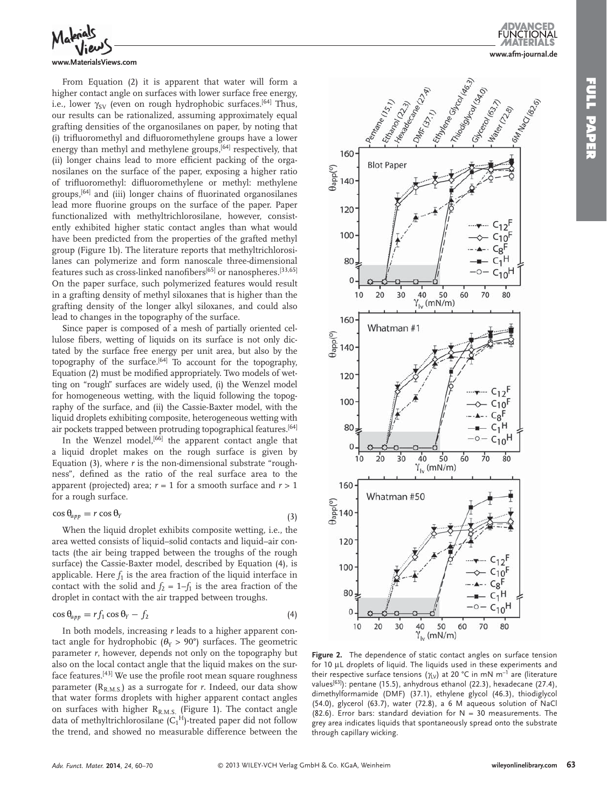

#### **www.MaterialsViews.com**

 From Equation (2) it is apparent that water will form a higher contact angle on surfaces with lower surface free energy, i.e., lower γ<sub>SV</sub> (even on rough hydrophobic surfaces.<sup>[64]</sup> Thus, our results can be rationalized, assuming approximately equal grafting densities of the organosilanes on paper, by noting that (i) trifluoromethyl and difluoromethylene groups have a lower energy than methyl and methylene groups,<sup>[64]</sup> respectively, that (ii) longer chains lead to more efficient packing of the organosilanes on the surface of the paper, exposing a higher ratio of trifluoromethyl: difluoromethylene or methyl: methylene groups,<sup>[64]</sup> and (iii) longer chains of fluorinated organosilanes lead more fluorine groups on the surface of the paper. Paper functionalized with methyltrichlorosilane, however, consistently exhibited higher static contact angles than what would have been predicted from the properties of the grafted methyl group (Figure 1b). The literature reports that methyltrichlorosilanes can polymerize and form nanoscale three-dimensional features such as cross-linked nanofibers<sup>[65]</sup> or nanospheres.<sup>[33,65]</sup> On the paper surface, such polymerized features would result in a grafting density of methyl siloxanes that is higher than the grafting density of the longer alkyl siloxanes, and could also lead to changes in the topography of the surface.

 Since paper is composed of a mesh of partially oriented cellulose fibers, wetting of liquids on its surface is not only dictated by the surface free energy per unit area, but also by the topography of the surface.<sup>[64]</sup> To account for the topography, Equation (2) must be modified appropriately. Two models of wetting on "rough" surfaces are widely used, (i) the Wenzel model for homogeneous wetting, with the liquid following the topography of the surface, and (ii) the Cassie-Baxter model, with the liquid droplets exhibiting composite, heterogeneous wetting with air pockets trapped between protruding topographical features. [64]

In the Wenzel model,<sup>[66]</sup> the apparent contact angle that a liquid droplet makes on the rough surface is given by Equation  $(3)$ , where  $r$  is the non-dimensional substrate "roughness", defined as the ratio of the real surface area to the apparent (projected) area;  $r = 1$  for a smooth surface and  $r > 1$ for a rough surface.

$$
\cos \theta_{app} = r \cos \theta_Y \tag{3}
$$

 When the liquid droplet exhibits composite wetting, i.e., the area wetted consists of liquid–solid contacts and liquid–air contacts (the air being trapped between the troughs of the rough surface) the Cassie-Baxter model, described by Equation (4), is applicable. Here  $f_1$  is the area fraction of the liquid interface in contact with the solid and  $f_2 = 1 - f_1$  is the area fraction of the droplet in contact with the air trapped between troughs.

$$
\cos \theta_{app} = r f_1 \cos \theta_Y - f_2 \tag{4}
$$

 In both models, increasing *r* leads to a higher apparent contact angle for hydrophobic ( $\theta_Y > 90^\circ$ ) surfaces. The geometric parameter *r*, however, depends not only on the topography but also on the local contact angle that the liquid makes on the surface features.<sup>[43]</sup> We use the profile root mean square roughness parameter  $(R_{RMS})$  as a surrogate for *r*. Indeed, our data show that water forms droplets with higher apparent contact angles on surfaces with higher  $R_{R.M.S.}$  (Figure 1). The contact angle data of methyltrichlorosilane  $(C_1^H)$ -treated paper did not follow the trend, and showed no measurable difference between the





 **Figure 2.** The dependence of static contact angles on surface tension for 10 μL droplets of liquid. The liquids used in these experiments and their respective surface tensions ( $\gamma_{LV}$ ) at 20 °C in mN m<sup>-1</sup> are (literature values<sup>[63]</sup>): pentane (15.5), anhydrous ethanol (22.3), hexadecane (27.4), dimethylformamide (DMF) (37.1), ethylene glycol (46.3), thiodiglycol (54.0), glycerol (63.7), water (72.8), a 6 M aqueous solution of NaCl (82.6). Error bars: standard deviation for  $N = 30$  measurements. The grey area indicates liquids that spontaneously spread onto the substrate through capillary wicking.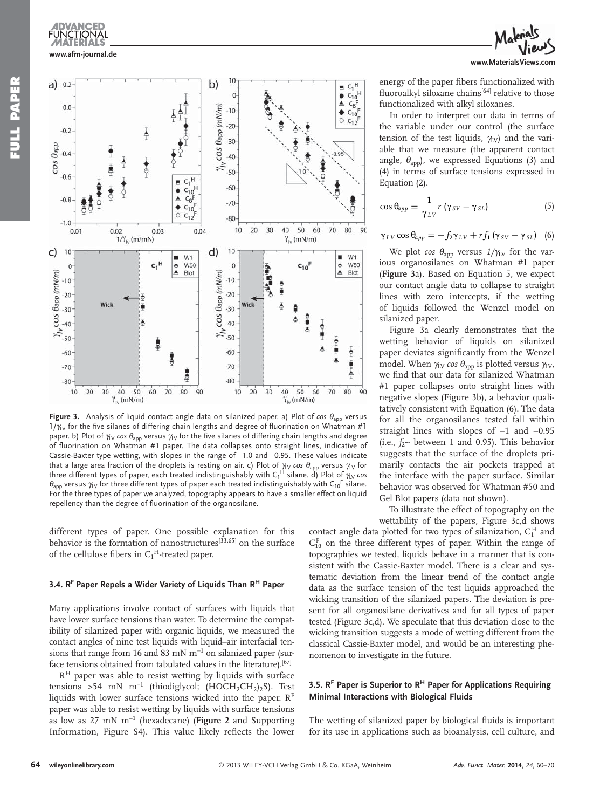

**Figure 3.** Analysis of liquid contact angle data on silanized paper. a) Plot of *cos* θ<sub>app</sub> versus  $1/\gamma_V$  for the five silanes of differing chain lengths and degree of fluorination on Whatman #1 paper. b) Plot of  $\chi_V$  cos  $\theta_{\text{app}}$  versus  $\chi_V$  for the five silanes of differing chain lengths and degree of fluorination on Whatman #1 paper. The data collapses onto straight lines, indicative of Cassie-Baxter type wetting, with slopes in the range of –1.0 and –0.95. These values indicate that a large area fraction of the droplets is resting on air. c) Plot of  $\gamma_{LV}$  cos  $\theta_{app}$  versus  $\gamma_{LV}$  for three different types of paper, each treated indistinguishably with C $_1^{\sf H}$  silane.  $\rm\dot{d})$  Plot of  $\gamma_{\rm LV}$   $cos$  $\theta_{\text{app}}$  versus  $\gamma_V$  for three different types of paper each treated indistinguishably with C<sub>10</sub>F silane. For the three types of paper we analyzed, topography appears to have a smaller effect on liquid repellency than the degree of fluorination of the organosilane.

different types of paper. One possible explanation for this behavior is the formation of nanostructures<sup>[33,65]</sup> on the surface of the cellulose fibers in  $C_1^H$ -treated paper.

 $\gamma_{1v}$  (mN/m)

### 3.4. R<sup>F</sup> Paper Repels a Wider Variety of Liquids Than R<sup>H</sup> Paper

 Many applications involve contact of surfaces with liquids that have lower surface tensions than water. To determine the compatibility of silanized paper with organic liquids, we measured the contact angles of nine test liquids with liquid-air interfacial tensions that range from 16 and 83 mN  $m^{-1}$  on silanized paper (surface tensions obtained from tabulated values in the literature).<sup>[67]</sup>

 $R<sup>H</sup>$  paper was able to resist wetting by liquids with surface tensions >54 mN m<sup>-1</sup> (thiodiglycol; (HOCH<sub>2</sub>CH<sub>2</sub>)<sub>2</sub>S). Test liquids with lower surface tensions wicked into the paper.  $R<sup>F</sup>$ paper was able to resist wetting by liquids with surface tensions as low as  $27 \text{ mN m}^{-1}$  (hexadecane) (**Figure** 2 and Supporting Information, Figure S4). This value likely reflects the lower



energy of the paper fibers functionalized with fluoroalkyl siloxane chains<sup>[64]</sup> relative to those functionalized with alkyl siloxanes.

 In order to interpret our data in terms of the variable under our control (the surface tension of the test liquids,  $\gamma_{\rm{IV}}$  and the variable that we measure (the apparent contact angle,  $\theta_{\text{app}}$ ), we expressed Equations (3) and (4) in terms of surface tensions expressed in Equation (2).

$$
\cos \theta_{app} = \frac{1}{\gamma_{LV}} r (\gamma_{SV} - \gamma_{SL})
$$
 (5)

$$
\gamma_{LV}\cos\theta_{app}=-f_2\gamma_{LV}+rf_1\left(\gamma_{SV}-\gamma_{SL}\right)\quad(6)
$$

We plot *cos*  $\theta_{\text{app}}$  versus  $1/\gamma_{\text{LV}}$  for the various organosilanes on Whatman #1 paper (Figure 3a). Based on Equation 5, we expect our contact angle data to collapse to straight lines with zero intercepts, if the wetting of liquids followed the Wenzel model on silanized paper.

Figure 3a clearly demonstrates that the wetting behavior of liquids on silanized paper deviates significantly from the Wenzel model. When  $\gamma_{\text{LV}}$  *cos*  $\theta_{\text{app}}$  is plotted versus  $\gamma_{\text{LV}}$ , we find that our data for silanized Whatman #1 paper collapses onto straight lines with negative slopes (Figure 3b), a behavior qualitatively consistent with Equation (6). The data for all the organosilanes tested fall within straight lines with slopes of −1 and −0.95 (i.e., *f*<sub>2</sub>∼ between 1 and 0.95). This behavior suggests that the surface of the droplets primarily contacts the air pockets trapped at the interface with the paper surface. Similar behavior was observed for Whatman #50 and Gel Blot papers (data not shown).

 To illustrate the effect of topography on the wettability of the papers, Figure 3c,d shows

contact angle data plotted for two types of silanization,  $C_1^H$  and  $C_{10}^F$  on the three different types of paper. Within the range of topographies we tested, liquids behave in a manner that is consistent with the Cassie-Baxter model. There is a clear and systematic deviation from the linear trend of the contact angle data as the surface tension of the test liquids approached the wicking transition of the silanized papers. The deviation is present for all organosilane derivatives and for all types of paper tested (Figure 3c,d). We speculate that this deviation close to the wicking transition suggests a mode of wetting different from the classical Cassie-Baxter model, and would be an interesting phenomenon to investigate in the future.

### **3.5. R<sup>F</sup> Paper is Superior to R<sup>H</sup> Paper for Applications Requiring Minimal Interactions with Biological Fluids**

The wetting of silanized paper by biological fluids is important for its use in applications such as bioanalysis, cell culture, and

Y.  $(mN/m)$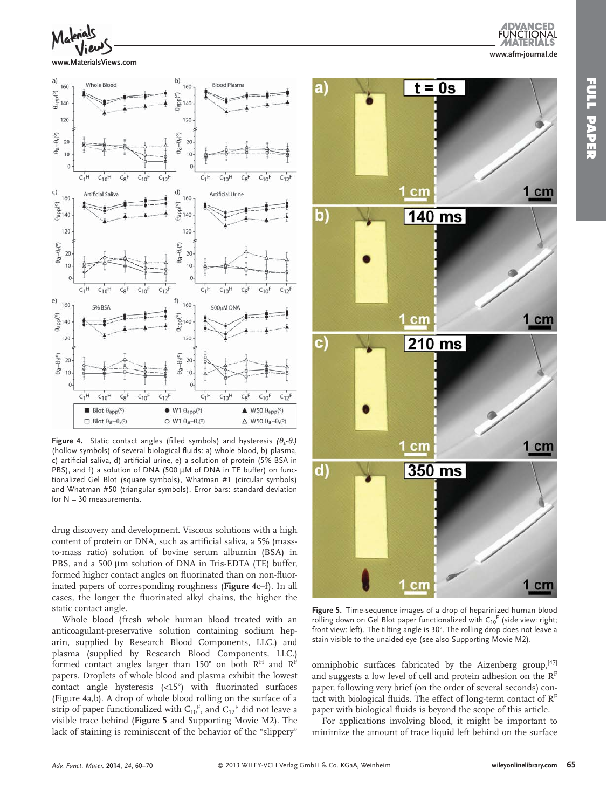

**www.MaterialsViews.com**



 **Figure 4.** Static contact angles (filled symbols) and hysteresis  $(\theta_a \cdot \theta_r)$ (hollow symbols) of several biological fluids: a) whole blood, b) plasma, c) artificial saliva, d) artificial urine, e) a solution of protein (5% BSA in PBS), and f) a solution of DNA (500 μM of DNA in TE buffer) on functionalized Gel Blot (square symbols), Whatman #1 (circular symbols) and Whatman #50 (triangular symbols). Error bars: standard deviation for  $N = 30$  measurements.

drug discovery and development. Viscous solutions with a high content of protein or DNA, such as artificial saliva, a 5% (massto-mass ratio) solution of bovine serum albumin (BSA) in PBS, and a 500 μm solution of DNA in Tris-EDTA (TE) buffer, formed higher contact angles on fluorinated than on non-fluorinated papers of corresponding roughness (Figure 4c–f). In all cases, the longer the fluorinated alkyl chains, the higher the static contact angle.

 Whole blood (fresh whole human blood treated with an anticoagulant-preservative solution containing sodium heparin, supplied by Research Blood Components, LLC.) and plasma (supplied by Research Blood Components, LLC.) formed contact angles larger than 150° on both  $R^H$  and  $R^F$ papers. Droplets of whole blood and plasma exhibit the lowest contact angle hysteresis  $(<15^{\circ})$  with fluorinated surfaces (Figure 4a,b). A drop of whole blood rolling on the surface of a strip of paper functionalized with  $C_{10}$ <sup>F</sup>, and  $C_{12}$ <sup>F</sup> did not leave a visible trace behind ( **Figure 5** and Supporting Movie M2). The lack of staining is reminiscent of the behavior of the "slippery"

*Adv. Funct. Mater.* **2014**, *24*, 60–70



 **Figure 5.** Time-sequence images of a drop of heparinized human blood rolling down on Gel Blot paper functionalized with  $C_{10}$ <sup>F</sup> (side view: right; front view: left). The tilting angle is 30°. The rolling drop does not leave a stain visible to the unaided eye (see also Supporting Movie M2).

omniphobic surfaces fabricated by the Aizenberg group, [47] and suggests a low level of cell and protein adhesion on the  $R<sup>F</sup>$ paper, following very brief (on the order of several seconds) contact with biological fluids. The effect of long-term contact of  $R<sup>F</sup>$ paper with biological fluids is beyond the scope of this article.

 For applications involving blood, it might be important to minimize the amount of trace liquid left behind on the surface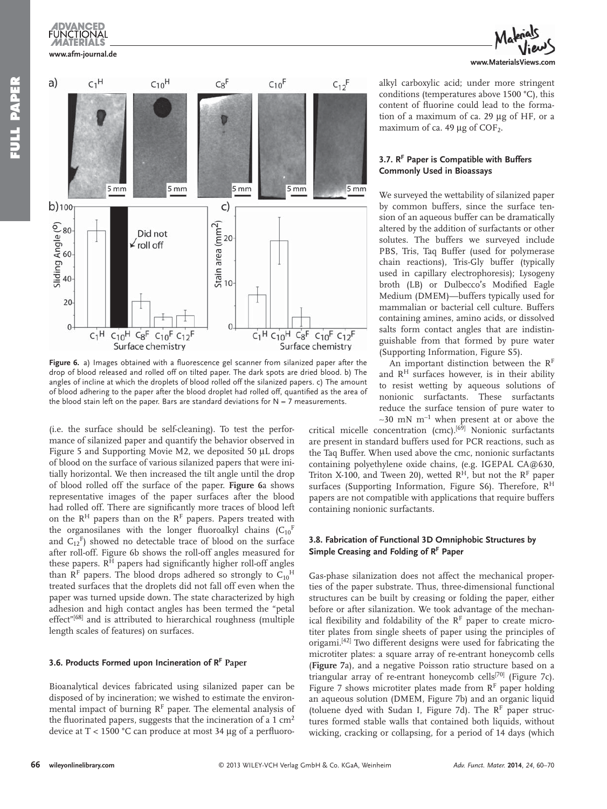## **www.afm-journal.de**



Figure 6. a) Images obtained with a fluorescence gel scanner from silanized paper after the drop of blood released and rolled off on tilted paper. The dark spots are dried blood. b) The angles of incline at which the droplets of blood rolled off the silanized papers. c) The amount of blood adhering to the paper after the blood droplet had rolled off, quantified as the area of the blood stain left on the paper. Bars are standard deviations for  $N = 7$  measurements.

(i.e. the surface should be self-cleaning). To test the performance of silanized paper and quantify the behavior observed in Figure 5 and Supporting Movie M2, we deposited 50 μL drops of blood on the surface of various silanized papers that were initially horizontal. We then increased the tilt angle until the drop of blood rolled off the surface of the paper. **Figure 6** a shows representative images of the paper surfaces after the blood had rolled off. There are significantly more traces of blood left on the  $R<sup>H</sup>$  papers than on the  $R<sup>F</sup>$  papers. Papers treated with the organosilanes with the longer fluoroalkyl chains  $(C_{10}^F)$ and  $C_{12}$ <sup>F</sup>) showed no detectable trace of blood on the surface after roll-off. Figure 6b shows the roll-off angles measured for these papers.  $R<sup>H</sup>$  papers had significantly higher roll-off angles than  $R<sup>F</sup>$  papers. The blood drops adhered so strongly to  $C<sub>10</sub><sup>H</sup>$ treated surfaces that the droplets did not fall off even when the paper was turned upside down. The state characterized by high adhesion and high contact angles has been termed the "petal effect"<sup>[68]</sup> and is attributed to hierarchical roughness (multiple length scales of features) on surfaces.

### **3.6. Products Formed upon Incineration of R<sup>F</sup> Paper**

 Bioanalytical devices fabricated using silanized paper can be disposed of by incineration; we wished to estimate the environmental impact of burning  $R<sup>F</sup>$  paper. The elemental analysis of the fluorinated papers, suggests that the incineration of a  $1 \text{ cm}^2$ device at T < 1500 °C can produce at most 34 μg of a perfluoro-



alkyl carboxylic acid; under more stringent conditions (temperatures above 1500 °C), this content of fluorine could lead to the formation of a maximum of ca. 29 μg of HF, or a maximum of ca. 49  $\mu$ g of COF<sub>2</sub>.

## **3.7 . R F Paper is Compatible with Buffers Commonly Used in Bioassays**

 We surveyed the wettability of silanized paper by common buffers, since the surface tension of an aqueous buffer can be dramatically altered by the addition of surfactants or other solutes. The buffers we surveyed include PBS, Tris, Taq Buffer (used for polymerase chain reactions), Tris-Gly buffer (typically used in capillary electrophoresis); Lysogeny broth (LB) or Dulbecco's Modified Eagle Medium (DMEM)—buffers typically used for mammalian or bacterial cell culture. Buffers containing amines, amino acids, or dissolved salts form contact angles that are indistinguishable from that formed by pure water (Supporting Information, Figure S5).

An important distinction between the  $R<sup>F</sup>$ and  $R<sup>H</sup>$  surfaces however, is in their ability to resist wetting by aqueous solutions of nonionic surfactants. These surfactants reduce the surface tension of pure water to  $~\sim$ 30 mN m<sup>-1</sup> when present at or above the

critical micelle concentration (cmc). [69] Nonionic surfactants are present in standard buffers used for PCR reactions, such as the Taq Buffer. When used above the cmc, nonionic surfactants containing polyethylene oxide chains, (e.g. IGEPAL CA@630, Triton X-100, and Tween 20), wetted  $R<sup>H</sup>$ , but not the  $R<sup>F</sup>$  paper surfaces (Supporting Information, Figure S6). Therefore, R<sup>H</sup> papers are not compatible with applications that require buffers containing nonionic surfactants.

### **3.8 . Fabrication of Functional 3D Omniphobic Structures by**  Simple Creasing and Folding of R<sup>F</sup> Paper

 Gas-phase silanization does not affect the mechanical properties of the paper substrate. Thus, three-dimensional functional structures can be built by creasing or folding the paper, either before or after silanization. We took advantage of the mechanical flexibility and foldability of the  $R<sup>F</sup>$  paper to create microtiter plates from single sheets of paper using the principles of origami.<sup>[42]</sup> Two different designs were used for fabricating the microtiter plates: a square array of re-entrant honeycomb cells ( **Figure 7** a), and a negative Poisson ratio structure based on a triangular array of re-entrant honeycomb cells<sup>[70]</sup> (Figure 7c). Figure 7 shows microtiter plates made from  $R<sup>F</sup>$  paper holding an aqueous solution (DMEM, Figure 7b) and an organic liquid (toluene dyed with Sudan I, Figure 7d). The  $R<sup>F</sup>$  paper structures formed stable walls that contained both liquids, without wicking, cracking or collapsing, for a period of 14 days (which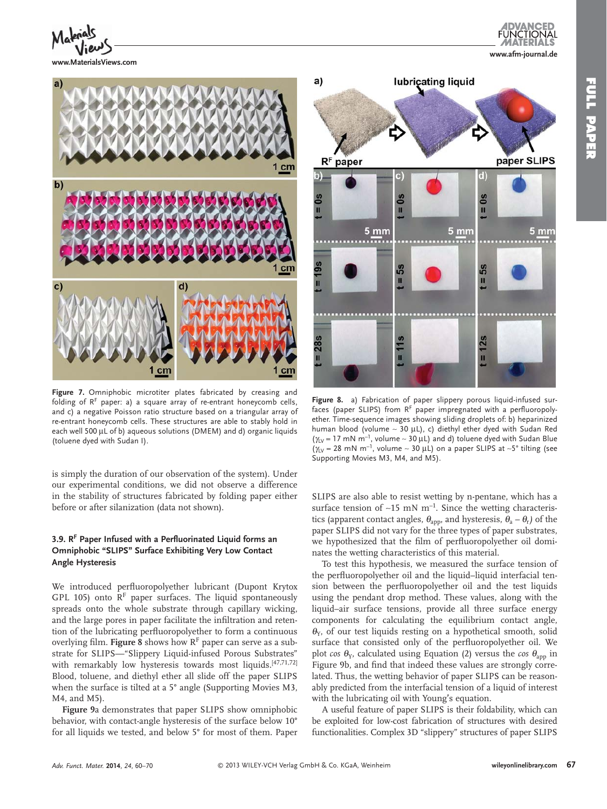**www.MaterialsViews.com**



Figure 7. Omniphobic microtiter plates fabricated by creasing and folding of  $R<sup>F</sup>$  paper: a) a square array of re-entrant honeycomb cells, and c) a negative Poisson ratio structure based on a triangular array of re-entrant honeycomb cells. These structures are able to stably hold in each well 500 μL of b) aqueous solutions (DMEM) and d) organic liquids (toluene dyed with Sudan I).

is simply the duration of our observation of the system). Under our experimental conditions, we did not observe a difference in the stability of structures fabricated by folding paper either before or after silanization (data not shown).

## **3.9 . R F Paper Infused with a Perfl uorinated Liquid forms an Omniphobic "SLIPS" Surface Exhibiting Very Low Contact Angle Hysteresis**

We introduced perfluoropolyether lubricant (Dupont Krytox GPL 105) onto  $R<sup>F</sup>$  paper surfaces. The liquid spontaneously spreads onto the whole substrate through capillary wicking, and the large pores in paper facilitate the infiltration and retention of the lubricating perfluoropolyether to form a continuous overlying film. Figure 8 shows how RF paper can serve as a substrate for SLIPS—"Slippery Liquid-infused Porous Substrates" with remarkably low hysteresis towards most liquids. [47,71,72] Blood, toluene, and diethyl ether all slide off the paper SLIPS when the surface is tilted at a 5° angle (Supporting Movies M3, M4, and M5).

Figure 9a demonstrates that paper SLIPS show omniphobic behavior, with contact-angle hysteresis of the surface below 10° for all liquids we tested, and below 5° for most of them. Paper



 **Figure 8.** a) Fabrication of paper slippery porous liquid-infused surfaces (paper SLIPS) from  $R<sup>F</sup>$  paper impregnated with a perfluoropolyether. Time-sequence images showing sliding droplets of: b) heparinized human blood (volume ~ 30 μL), c) diethyl ether dyed with Sudan Red ( $\gamma_V$  = 17 mN m<sup>-1</sup>, volume ~ 30 µ L) and d) toluene dyed with Sudan Blue  $(y<sub>Ly</sub> = 28$  mN m<sup>-1</sup>, volume ~ 30 μL) on a paper SLIPS at ~5° tilting (see Supporting Movies M3, M4, and M5).

SLIPS are also able to resist wetting by n-pentane, which has a surface tension of ~15 mN m<sup>-1</sup>. Since the wetting characteristics (apparent contact angles,  $\theta_{\text{app}}$ , and hysteresis,  $\theta_{\text{a}} - \theta_{\text{r}}$ ) of the paper SLIPS did not vary for the three types of paper substrates, we hypothesized that the film of perfluoropolyether oil dominates the wetting characteristics of this material.

 To test this hypothesis, we measured the surface tension of the perfluoropolyether oil and the liquid-liquid interfacial tension between the perfluoropolyether oil and the test liquids using the pendant drop method. These values, along with the liquid–air surface tensions, provide all three surface energy components for calculating the equilibrium contact angle,  $\theta_{Y}$ , of our test liquids resting on a hypothetical smooth, solid surface that consisted only of the perfluoropolyether oil. We plot *cos*  $\theta_{Y}$ , calculated using Equation (2) versus the *cos*  $\theta_{app}$  in Figure 9b, and find that indeed these values are strongly correlated. Thus, the wetting behavior of paper SLIPS can be reasonably predicted from the interfacial tension of a liquid of interest with the lubricating oil with Young's equation.

 A useful feature of paper SLIPS is their foldability, which can be exploited for low-cost fabrication of structures with desired functionalities. Complex 3D "slippery" structures of paper SLIPS

**www.afm-journal.de**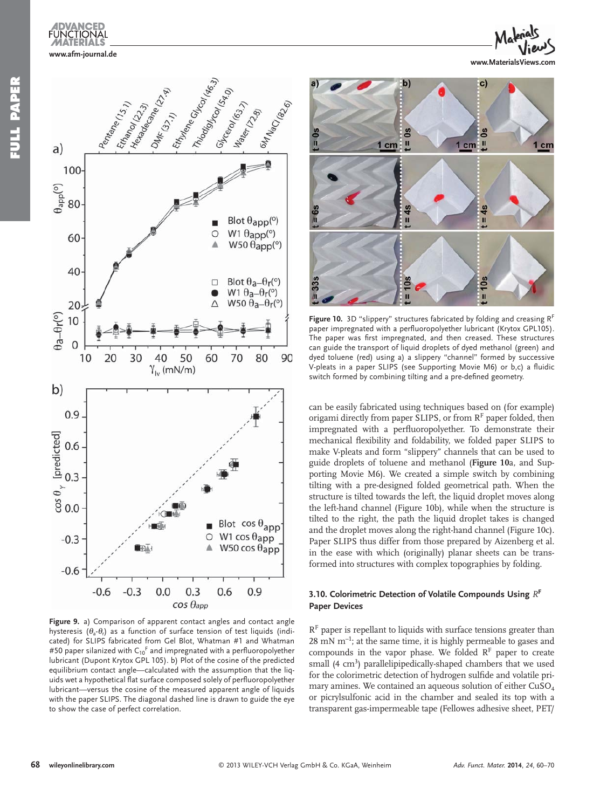

**FULL PAPER**

**SISURE PAPER** 



**www.MaterialsViews.com**



 **Figure 9.** a) Comparison of apparent contact angles and contact angle hysteresis ( $\theta_2$ - $\theta_1$ ) as a function of surface tension of test liquids (indicated) for SLIPS fabricated from Gel Blot, Whatman #1 and Whatman #50 paper silanized with  $C_{10}$ <sup>F</sup> and impregnated with a perfluoropolyether lubricant (Dupont Krytox GPL 105). b) Plot of the cosine of the predicted equilibrium contact angle—calculated with the assumption that the liquids wet a hypothetical flat surface composed solely of perfluoropolyether lubricant—versus the cosine of the measured apparent angle of liquids with the paper SLIPS. The diagonal dashed line is drawn to guide the eye to show the case of perfect correlation.



Figure 10. 3D "slippery" structures fabricated by folding and creasing R<sup>F</sup> paper impregnated with a perfluoropolyether lubricant (Krytox GPL105). The paper was first impregnated, and then creased. These structures can guide the transport of liquid droplets of dyed methanol (green) and dyed toluene (red) using a) a slippery "channel" formed by successive V-pleats in a paper SLIPS (see Supporting Movie M6) or b,c) a fluidic switch formed by combining tilting and a pre-defined geometry.

can be easily fabricated using techniques based on (for example) origami directly from paper SLIPS, or from  $R<sup>F</sup>$  paper folded, then impregnated with a perfluoropolyether. To demonstrate their mechanical flexibility and foldability, we folded paper SLIPS to make V-pleats and form "slippery" channels that can be used to guide droplets of toluene and methanol ( **Figure 10** a, and Supporting Movie M6). We created a simple switch by combining tilting with a pre-designed folded geometrical path. When the structure is tilted towards the left, the liquid droplet moves along the left-hand channel (Figure 10b), while when the structure is tilted to the right, the path the liquid droplet takes is changed and the droplet moves along the right-hand channel (Figure 10c). Paper SLIPS thus differ from those prepared by Aizenberg et al. in the ease with which (originally) planar sheets can be transformed into structures with complex topographies by folding.

### **3.10. Colorimetric Detection of Volatile Compounds Using**  $R^F$ **Paper Devices**

 $R<sup>F</sup>$  paper is repellant to liquids with surface tensions greater than  $28 \text{ mN m}^{-1}$ ; at the same time, it is highly permeable to gases and compounds in the vapor phase. We folded  $R<sup>F</sup>$  paper to create small (4 cm<sup>3</sup>) parallelipipedically-shaped chambers that we used for the colorimetric detection of hydrogen sulfide and volatile primary amines. We contained an aqueous solution of either CuSO<sub>4</sub> or picrylsulfonic acid in the chamber and sealed its top with a transparent gas-impermeable tape (Fellowes adhesive sheet, PET/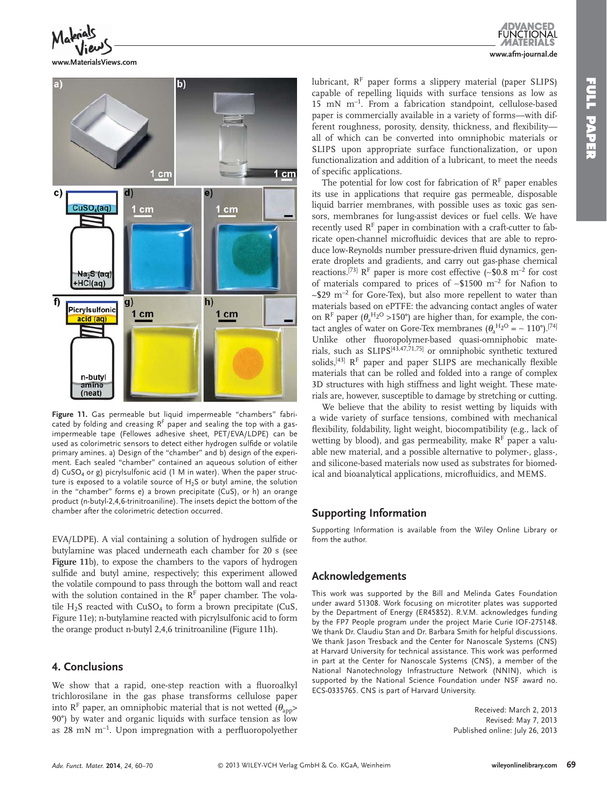**FUNCTIONAL** 



F

**www.MaterialsViews.com**

**www.afm-journal.de** lubricant,  $R<sup>F</sup>$  paper forms a slippery material (paper SLIPS) capable of repelling liquids with surface tensions as low as  $15$  mN m<sup>-1</sup>. From a fabrication standpoint, cellulose-based paper is commercially available in a variety of forms—with different roughness, porosity, density, thickness, and flexibilityall of which can be converted into omniphobic materials or SLIPS upon appropriate surface functionalization, or upon

functionalization and addition of a lubricant, to meet the needs

of specific applications. The potential for low cost for fabrication of  $R<sup>F</sup>$  paper enables its use in applications that require gas permeable, disposable liquid barrier membranes, with possible uses as toxic gas sensors, membranes for lung-assist devices or fuel cells. We have recently used  $R<sup>F</sup>$  paper in combination with a craft-cutter to fabricate open-channel microfluidic devices that are able to reproduce low-Reynolds number pressure-driven fluid dynamics, generate droplets and gradients, and carry out gas-phase chemical reactions.<sup>[73]</sup>  $R<sup>F</sup>$  paper is more cost effective (~\$0.8 m<sup>-2</sup> for cost of materials compared to prices of ~\$1500 m<sup>-2</sup> for Nafion to  $\sim$ \$29 m<sup>-2</sup> for Gore-Tex), but also more repellent to water than materials based on ePTFE: the advancing contact angles of water on  $R^F$  paper ( $\theta_a^H2^O > 150^\circ$ ) are higher than, for example, the contact angles of water on Gore-Tex membranes  $(\theta_a^{H_2O} = \sim 110^{\circ}).^{[74]}$ Unlike other fluoropolymer-based quasi-omniphobic materials, such as SLIPS<sup>[43,47,71,75]</sup> or omniphobic synthetic textured solids,  $[43]$   $R<sup>F</sup>$  paper and paper SLIPS are mechanically flexible materials that can be rolled and folded into a range of complex 3D structures with high stiffness and light weight. These materials are, however, susceptible to damage by stretching or cutting.

 We believe that the ability to resist wetting by liquids with a wide variety of surface tensions, combined with mechanical flexibility, foldability, light weight, biocompatibility (e.g., lack of wetting by blood), and gas permeability, make  $R<sup>F</sup>$  paper a valuable new material, and a possible alternative to polymer-, glass-, and silicone-based materials now used as substrates for biomedical and bioanalytical applications, microfluidics, and MEMS.

## **Supporting Information**

 Supporting Information is available from the Wiley Online Library or from the author.

## **Acknowledgements**

 This work was supported by the Bill and Melinda Gates Foundation under award 51308. Work focusing on microtiter plates was supported by the Department of Energy (ER45852). R.V.M. acknowledges funding by the FP7 People program under the project Marie Curie IOF-275148. We thank Dr. Claudiu Stan and Dr. Barbara Smith for helpful discussions. We thank Jason Tresback and the Center for Nanoscale Systems (CNS) at Harvard University for technical assistance. This work was performed in part at the Center for Nanoscale Systems (CNS), a member of the National Nanotechnology Infrastructure Network (NNIN), which is supported by the National Science Foundation under NSF award no. ECS-0335765. CNS is part of Harvard University.

> Received: March 2, 2013 Revised: May 7, 2013 Published online: July 26, 2013

b)  $1 cm$ 1 cm  $\mathbf{c}$  $e)$  $CuSO<sub>4</sub>(aq)$ 1 cm  $cm$  $Na<sub>2</sub>S$  (aq) +HCl(ag)  $\overline{f}$  $h)$  $g)$ Picrylsulfonio  $1 cm$  $1 cm$ acid (ag) n-butyl amine (neat)

 **Figure 11.** Gas permeable but liquid impermeable "chambers" fabricated by folding and creasing  $R<sup>F</sup>$  paper and sealing the top with a gasimpermeable tape (Fellowes adhesive sheet, PET/EVA/LDPE) can be used as colorimetric sensors to detect either hydrogen sulfide or volatile primary amines. a) Design of the "chamber" and b) design of the experiment. Each sealed "chamber" contained an aqueous solution of either d) CuSO<sub>4</sub> or g) picrylsulfonic acid (1 M in water). When the paper structure is exposed to a volatile source of  $H_2S$  or butyl amine, the solution in the "chamber" forms e) a brown precipitate (CuS), or h) an orange product (n-butyl-2,4,6-trinitroaniline). The insets depict the bottom of the chamber after the colorimetric detection occurred.

EVA/LDPE). A vial containing a solution of hydrogen sulfide or butylamine was placed underneath each chamber for 20 s (see Figure 11b), to expose the chambers to the vapors of hydrogen sulfide and butyl amine, respectively; this experiment allowed the volatile compound to pass through the bottom wall and react with the solution contained in the  $R<sup>F</sup>$  paper chamber. The volatile  $H_2S$  reacted with  $CuSO_4$  to form a brown precipitate (CuS, Figure 11e); n-butylamine reacted with picrylsulfonic acid to form the orange product n-butyl 2,4,6 trinitroaniline (Figure 11h).

## **4 . Conclusions**

We show that a rapid, one-step reaction with a fluoroalkyl trichlorosilane in the gas phase transforms cellulose paper into  $R^F$  paper, an omniphobic material that is not wetted  $(\theta_{app} >$ 90°) by water and organic liquids with surface tension as low as 28 mN  $m^{-1}$ . Upon impregnation with a perfluoropolyether